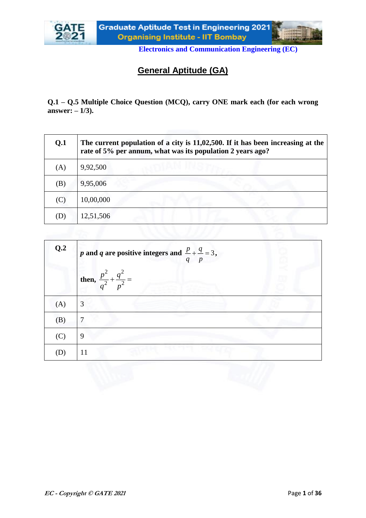

# **General Aptitude (GA)**

**Q.1 – Q.5 Multiple Choice Question (MCQ), carry ONE mark each (for each wrong answer: – 1/3).**

| Q <sub>1</sub> | The current population of a city is $11,02,500$ . If it has been increasing at the<br>rate of 5% per annum, what was its population 2 years ago? |
|----------------|--------------------------------------------------------------------------------------------------------------------------------------------------|
| (A)            | 9,92,500                                                                                                                                         |
| (B)            | 9,95,006                                                                                                                                         |
| (C)            | 10,00,000                                                                                                                                        |
| (D)            | 12,51,506                                                                                                                                        |

| Q.2 | <i>p</i> and <i>q</i> are positive integers and $\frac{p}{q} + \frac{q}{p} = 3$ , |  |
|-----|-----------------------------------------------------------------------------------|--|
|     | then, $\frac{p^2}{q^2} + \frac{q^2}{p^2} =$                                       |  |
| (A) | 3                                                                                 |  |
| (B) | 7                                                                                 |  |
| (C) | 9                                                                                 |  |
| (D) | 11                                                                                |  |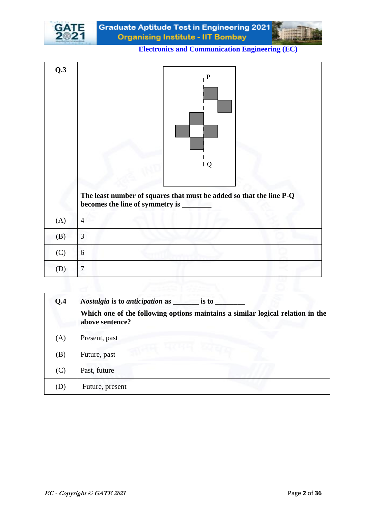

Graduate Aptitude Test in Engineering 2021 **Organising Institute - IIT Bombay** 

|     | $\mathbf{P}$<br>$\mathsf{I}\mathsf{Q}$                                                                   |
|-----|----------------------------------------------------------------------------------------------------------|
|     | The least number of squares that must be added so that the line P-Q<br>becomes the line of symmetry is _ |
| (A) | $\overline{4}$                                                                                           |
| (B) | 3                                                                                                        |
| (C) | 6                                                                                                        |

| Q.4 | <i>Nostalgia</i> is to <i>anticipation</i> as<br>is to<br>Which one of the following options maintains a similar logical relation in the<br>above sentence? |
|-----|-------------------------------------------------------------------------------------------------------------------------------------------------------------|
| (A) | Present, past                                                                                                                                               |
| (B) | Future, past                                                                                                                                                |
| (C) | Past, future                                                                                                                                                |
| (D) | Future, present                                                                                                                                             |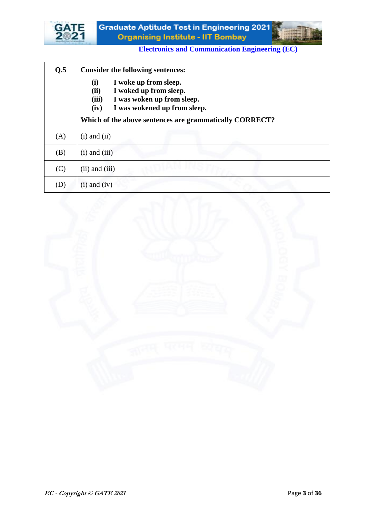



| Q.5 | <b>Consider the following sentences:</b>                                                                                                      |
|-----|-----------------------------------------------------------------------------------------------------------------------------------------------|
|     | I woke up from sleep.<br>(i)<br>(ii)<br>I woked up from sleep.<br>(iii)<br>I was woken up from sleep.<br>I was wokened up from sleep.<br>(iv) |
|     | Which of the above sentences are grammatically CORRECT?                                                                                       |
| (A) | $(i)$ and $(ii)$                                                                                                                              |
| (B) | $(i)$ and $(iii)$                                                                                                                             |
| (C) | $(ii)$ and $(iii)$                                                                                                                            |
| (D) | $(i)$ and $(iv)$                                                                                                                              |

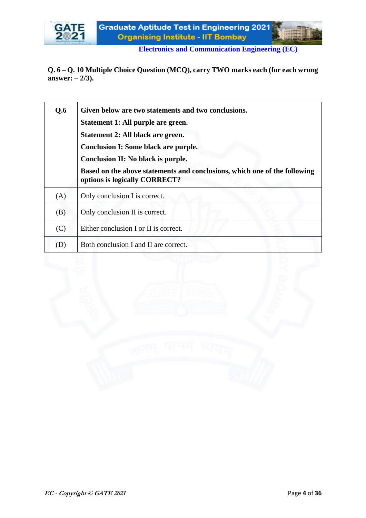

**Q. 6 – Q. 10 Multiple Choice Question (MCQ), carry TWO marks each (for each wrong answer: – 2/3).**

| Q.6 | Given below are two statements and two conclusions.<br>Statement 1: All purple are green.<br>Statement 2: All black are green.<br><b>Conclusion I: Some black are purple.</b><br>Conclusion II: No black is purple.<br>Based on the above statements and conclusions, which one of the following<br>options is logically CORRECT? |
|-----|-----------------------------------------------------------------------------------------------------------------------------------------------------------------------------------------------------------------------------------------------------------------------------------------------------------------------------------|
| (A) | Only conclusion I is correct.                                                                                                                                                                                                                                                                                                     |
| (B) | Only conclusion II is correct.                                                                                                                                                                                                                                                                                                    |
| (C) | Either conclusion I or II is correct.                                                                                                                                                                                                                                                                                             |
| (D) | Both conclusion I and II are correct.                                                                                                                                                                                                                                                                                             |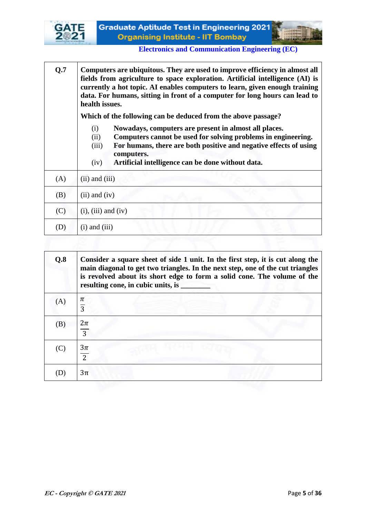

┱



٦

| Q.7 | Computers are ubiquitous. They are used to improve efficiency in almost all<br>fields from agriculture to space exploration. Artificial intelligence (AI) is<br>currently a hot topic. AI enables computers to learn, given enough training<br>data. For humans, sitting in front of a computer for long hours can lead to<br>health issues. |
|-----|----------------------------------------------------------------------------------------------------------------------------------------------------------------------------------------------------------------------------------------------------------------------------------------------------------------------------------------------|
|     | Which of the following can be deduced from the above passage?                                                                                                                                                                                                                                                                                |
|     | Nowadays, computers are present in almost all places.<br>(i)<br>Computers cannot be used for solving problems in engineering.<br>(ii)<br>For humans, there are both positive and negative effects of using<br>(iii)<br>computers.<br>Artificial intelligence can be done without data.<br>(iv)                                               |
| (A) | $(ii)$ and $(iii)$                                                                                                                                                                                                                                                                                                                           |
| (B) | $(ii)$ and $(iv)$                                                                                                                                                                                                                                                                                                                            |
| (C) | $(i)$ , $(iii)$ and $(iv)$                                                                                                                                                                                                                                                                                                                   |
| (D) | $(i)$ and $(iii)$                                                                                                                                                                                                                                                                                                                            |

| Q.8                             | Consider a square sheet of side 1 unit. In the first step, it is cut along the<br>main diagonal to get two triangles. In the next step, one of the cut triangles<br>is revolved about its short edge to form a solid cone. The volume of the<br>resulting cone, in cubic units, is |
|---------------------------------|------------------------------------------------------------------------------------------------------------------------------------------------------------------------------------------------------------------------------------------------------------------------------------|
| (A)                             | π<br>$\overline{3}$                                                                                                                                                                                                                                                                |
| (B)                             | $2\pi$<br>3                                                                                                                                                                                                                                                                        |
| (C)                             | $3\pi$<br>$\overline{2}$                                                                                                                                                                                                                                                           |
| $\left( \left  \right. \right)$ | $3\pi$                                                                                                                                                                                                                                                                             |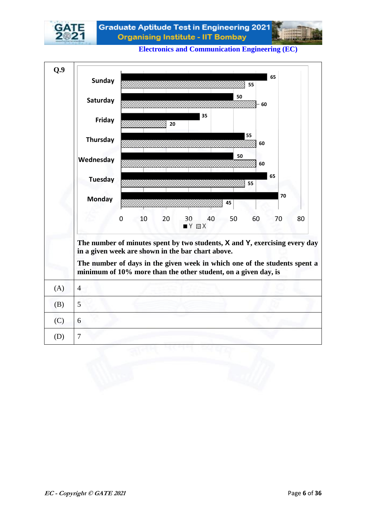

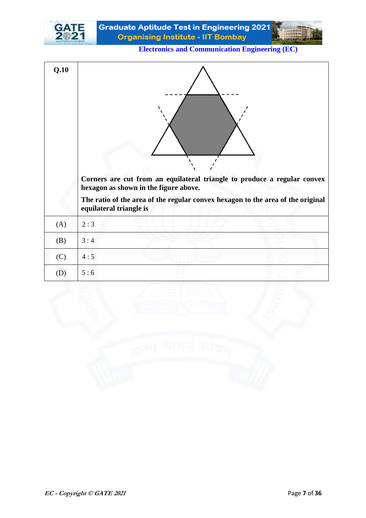

| Q.10 |                                                                                                                   |
|------|-------------------------------------------------------------------------------------------------------------------|
|      | Corners are cut from an equilateral triangle to produce a regular convex<br>hexagon as shown in the figure above. |
|      | The ratio of the area of the regular convex hexagon to the area of the original<br>equilateral triangle is        |
| (A)  | 2:3                                                                                                               |
| (B)  | 3:4                                                                                                               |
| (C)  | 4:5                                                                                                               |
| (D)  | 5:6                                                                                                               |

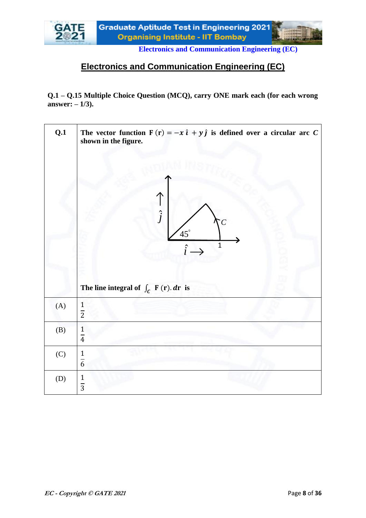

# **Electronics and Communication Engineering (EC)**

**Q.1 – Q.15 Multiple Choice Question (MCQ), carry ONE mark each (for each wrong answer: – 1/3).**

| Q.1 | The vector function $F(r) = -x \hat{i} + y \hat{j}$ is defined over a circular arc C<br>shown in the figure.<br>$\hat{j}$<br>$\overline{C}$<br>$45^{\circ}$<br>$\mathbf 1$<br>$\hat{i}$<br>The line integral of $\int_C$ F (r). dr is |  |
|-----|---------------------------------------------------------------------------------------------------------------------------------------------------------------------------------------------------------------------------------------|--|
| (A) | $\frac{1}{2}$                                                                                                                                                                                                                         |  |
| (B) | $\frac{1}{4}$                                                                                                                                                                                                                         |  |
| (C) | $\frac{1}{6}$                                                                                                                                                                                                                         |  |
| (D) | $\frac{1}{3}$                                                                                                                                                                                                                         |  |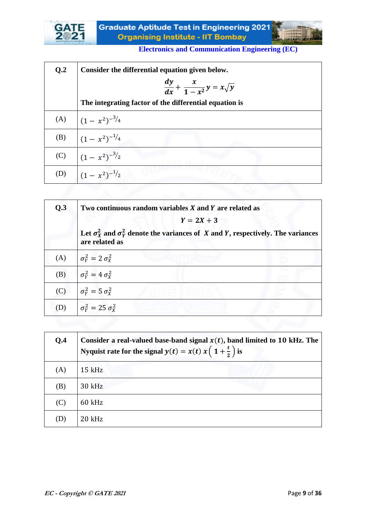

| Q <sub>2</sub> | Consider the differential equation given below.        |
|----------------|--------------------------------------------------------|
|                | $\frac{dy}{dx} + \frac{x}{1-x^2}y = x\sqrt{y}$         |
|                | The integrating factor of the differential equation is |
| (A)            | $(1 - x^2)^{-3/4}$                                     |
| (B)            | $(1 - x^2)^{-1/4}$                                     |
| (C)            | $(1-x^2)^{-3/2}$                                       |
| (D)            | $(1-x^2)^{-1/2}$                                       |
|                |                                                        |

| Q.3 | Two continuous random variables X and Y are related as                                                           |
|-----|------------------------------------------------------------------------------------------------------------------|
|     | $Y = 2X + 3$                                                                                                     |
|     | Let $\sigma_X^2$ and $\sigma_Y^2$ denote the variances of X and Y, respectively. The variances<br>are related as |
| (A) | $\sigma_{\rm v}^2 = 2 \sigma_{\rm x}^2$                                                                          |
| (B) | $\sigma_{\rm Y}^2 = 4 \sigma_{\rm Y}^2$                                                                          |
| (C) | $\sigma_{\rm V}^2 = 5 \sigma_{\rm V}^2$                                                                          |
| (D) | $\sigma_{\rm v}^2 = 25 \sigma_{\rm x}^2$                                                                         |

| Q.4 | Consider a real-valued base-band signal $x(t)$ , band limited to 10 kHz. The<br>Nyquist rate for the signal $y(t) = x(t) x(1 + \frac{t}{2})$ is |
|-----|-------------------------------------------------------------------------------------------------------------------------------------------------|
| (A) | $15$ kHz                                                                                                                                        |
| (B) | 30 kHz                                                                                                                                          |
| (C) | $60$ kHz                                                                                                                                        |
| (D) | $20$ kHz                                                                                                                                        |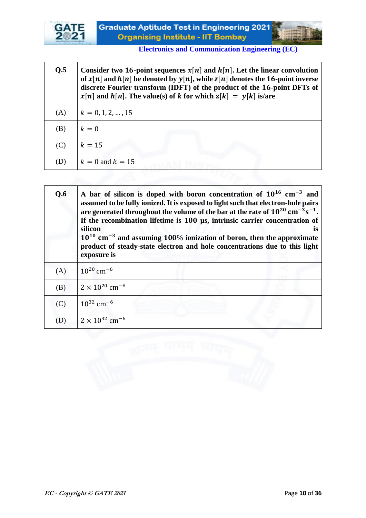

| Q.5 | Consider two 16-point sequences $x[n]$ and $h[n]$ . Let the linear convolution<br>of $x[n]$ and $h[n]$ be denoted by $y[n]$ , while $z[n]$ denotes the 16-point inverse<br>discrete Fourier transform (IDFT) of the product of the 16-point DFTs of<br>$x[n]$ and $h[n]$ . The value(s) of k for which $z[k] = y[k]$ is/are |
|-----|-----------------------------------------------------------------------------------------------------------------------------------------------------------------------------------------------------------------------------------------------------------------------------------------------------------------------------|
| (A) | $k = 0, 1, 2, , 15$                                                                                                                                                                                                                                                                                                         |
| (B) | $k=0$                                                                                                                                                                                                                                                                                                                       |
| (C) | $k=15$                                                                                                                                                                                                                                                                                                                      |
| (D) | $k = 0$ and $k = 15$                                                                                                                                                                                                                                                                                                        |

| Q.6 | A bar of silicon is doped with boron concentration of $10^{16}$ cm <sup>-3</sup> and<br>assumed to be fully ionized. It is exposed to light such that electron-hole pairs<br>are generated throughout the volume of the bar at the rate of $10^{20}$ cm <sup>-3</sup> s <sup>-1</sup> .<br>If the recombination lifetime is 100 µs, intrinsic carrier concentration of<br>silicon<br><b>is</b><br>$10^{10}$ cm <sup>-3</sup> and assuming 100% ionization of boron, then the approximate<br>product of steady-state electron and hole concentrations due to this light<br>exposure is |
|-----|---------------------------------------------------------------------------------------------------------------------------------------------------------------------------------------------------------------------------------------------------------------------------------------------------------------------------------------------------------------------------------------------------------------------------------------------------------------------------------------------------------------------------------------------------------------------------------------|
| (A) | $10^{20}$ cm <sup>-6</sup>                                                                                                                                                                                                                                                                                                                                                                                                                                                                                                                                                            |
| (B) | $2 \times 10^{20}$ cm <sup>-6</sup>                                                                                                                                                                                                                                                                                                                                                                                                                                                                                                                                                   |
| (C) | $10^{32}$ cm <sup>-6</sup>                                                                                                                                                                                                                                                                                                                                                                                                                                                                                                                                                            |
| (D) | $2 \times 10^{32}$ cm <sup>-6</sup>                                                                                                                                                                                                                                                                                                                                                                                                                                                                                                                                                   |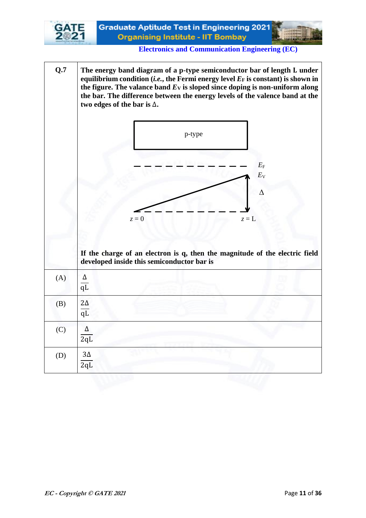

**Q.7** The energy band diagram of a p-type semiconductor bar of length L under equilibrium condition  $(i.e.,$  the Fermi energy level  $E_F$  is constant) is shown in the figure. The valance band  $E_V$  is sloped since doping is non-uniform along **the bar. The difference between the energy levels of the valence band at the two edges of the bar is** ∆**.**  p-type  $E_{\rm F}$  $E_{V}$ Δ  $z = 0$   $z = L$ **If the charge of an electron is q, then the magnitude of the electric field developed inside this semiconductor bar is**   $(A)$   $\Delta$ qL (B)  $2\Delta$  $\overline{a}$  $(C)$   $\Delta$ 2qL (D)  $\vert 3\Delta \vert$  $2qL$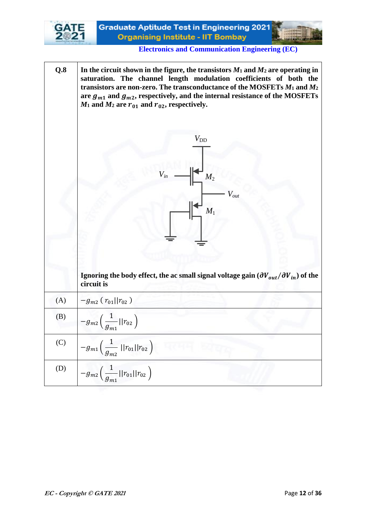

**Q.8 In the circuit shown in the figure, the transistors**  $M_1$  **and**  $M_2$  **are operating in saturation. The channel length modulation coefficients of both the transistors are non-zero. The transconductance of the MOSFETs** *M***<sup>1</sup> and** *M***<sup>2</sup>** are  $g_{m1}$  and  $g_{m2}$ , respectively, and the internal resistance of the MOSFETs  $M_1$  and  $M_2$  are  $r_{01}$  and  $r_{02}$ , respectively.  $M_2$ *M*<sup>1</sup> *Vout*  $V_{\text{DD}}$ **Ignoring the body effect, the ac small signal voltage gain**  $(\partial V_{out}/\partial V_{in})$  **of the circuit is** (A)  $-g_{m2}(r_{01}||r_{02})$ (B)  $-g_{m2}$ 1  $g_{m1}$  $||r_{02}||$ (C)  $-g_{m1}$ 1  $g_{m2}$  $||r_{01}||r_{02}$ (D)  $-g_{m2}$ 1  $g_{m1}$  $||r_{01}||r_{02}||$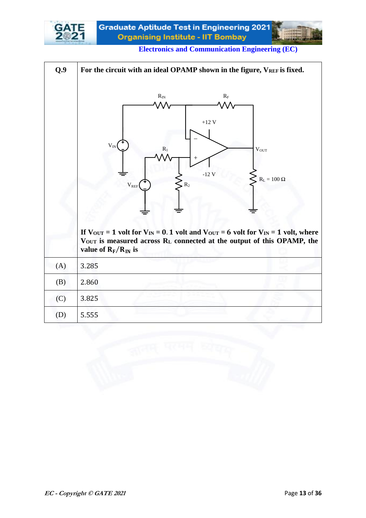

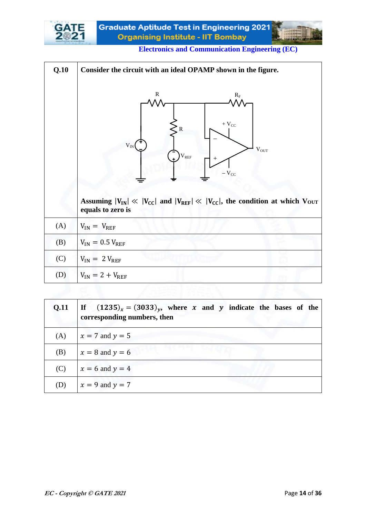

| Q.10 | Consider the circuit with an ideal OPAMP shown in the figure.                                                                                                                                                                        |
|------|--------------------------------------------------------------------------------------------------------------------------------------------------------------------------------------------------------------------------------------|
|      | R<br>$R_{\rm F}$<br>$+$ $V_{CC}$<br>$\mathbb{R}$<br>$V_{IN}$<br>$\rm V_{OUT}$<br>$\rm V_{REF}$<br>$-V_{CC}$<br>Assuming $ V_{IN}  \ll  V_{CC} $ and $ V_{REF}  \ll  V_{CC} $ , the condition at which $V_{OUT}$<br>equals to zero is |
| (A)  | $V_{IN} = V_{REF}$                                                                                                                                                                                                                   |
| (B)  | $V_{IN} = 0.5 V_{REF}$                                                                                                                                                                                                               |
| (C)  | $V_{IN}$ = 2 $V_{REF}$                                                                                                                                                                                                               |
| (D)  | $V_{IN} = 2 + V_{REF}$                                                                                                                                                                                                               |

| Q.11 | If $(1235)_x = (3033)_y$ , where x and y indicate the bases of the<br>corresponding numbers, then |
|------|---------------------------------------------------------------------------------------------------|
| (A)  | $x = 7$ and $y = 5$                                                                               |
| (B)  | $x = 8$ and $y = 6$                                                                               |
| (C)  | $x = 6$ and $y = 4$                                                                               |
| (D)  | $x = 9$ and $y = 7$                                                                               |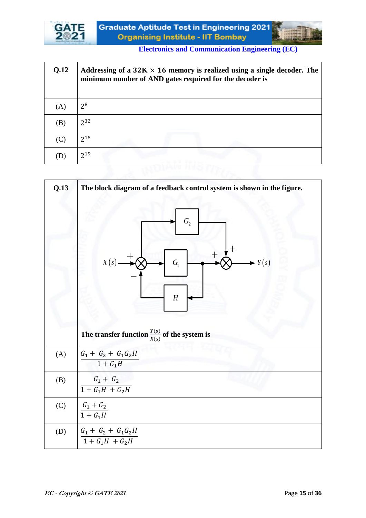

| Q.12           | Addressing of a $32K \times 16$ memory is realized using a single decoder. The<br>minimum number of AND gates required for the decoder is |
|----------------|-------------------------------------------------------------------------------------------------------------------------------------------|
| (A)            | 2 <sup>8</sup>                                                                                                                            |
| (B)            | $2^{32}$                                                                                                                                  |
| $(\mathbf{C})$ | $2^{15}$                                                                                                                                  |
| I)             | $2^{19}$                                                                                                                                  |

| Q.13 | The block diagram of a feedback control system is shown in the figure.<br>${\cal G}_2$<br>X(s)<br>Y(s)<br>${\cal G}_{\!\scriptscriptstyle 1}$<br>$\boldsymbol{H}$<br>The transfer function $\frac{Y(s)}{X(s)}$ of the system is |  |
|------|---------------------------------------------------------------------------------------------------------------------------------------------------------------------------------------------------------------------------------|--|
| (A)  | $G_1 + G_2 + G_1 G_2 H$<br>$1 + G_1H$                                                                                                                                                                                           |  |
| (B)  | $G_1 + G_2$<br>$1 + G_1H + G_2H$                                                                                                                                                                                                |  |
| (C)  | $\frac{G_1+G_2}{1+G_1H}$                                                                                                                                                                                                        |  |
| (D)  | $\frac{G_1+\;G_2+\;G_1G_2H}{1+G_1H\;+\;G_2H}$                                                                                                                                                                                   |  |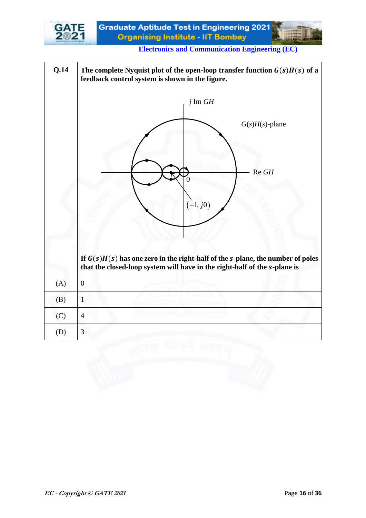

**Electronics and Communication Engineering (EC)**

| Q.14 | The complete Nyquist plot of the open-loop transfer function $G(s)H(s)$ of a<br>feedback control system is shown in the figure.                               |  |  |
|------|---------------------------------------------------------------------------------------------------------------------------------------------------------------|--|--|
|      | $j \text{Im } GH$                                                                                                                                             |  |  |
|      | $G(s)H(s)$ -plane                                                                                                                                             |  |  |
|      | $Re$ $GH$<br>$\mathcal{O}$                                                                                                                                    |  |  |
|      | $(-1, j0)$                                                                                                                                                    |  |  |
|      | If $G(s)H(s)$ has one zero in the right-half of the s-plane, the number of poles<br>that the closed-loop system will have in the right-half of the s-plane is |  |  |
| (A)  | $\boldsymbol{0}$                                                                                                                                              |  |  |
| (B)  | $\mathbf{1}$                                                                                                                                                  |  |  |
| (C)  | $\overline{4}$                                                                                                                                                |  |  |
| (D)  | 3                                                                                                                                                             |  |  |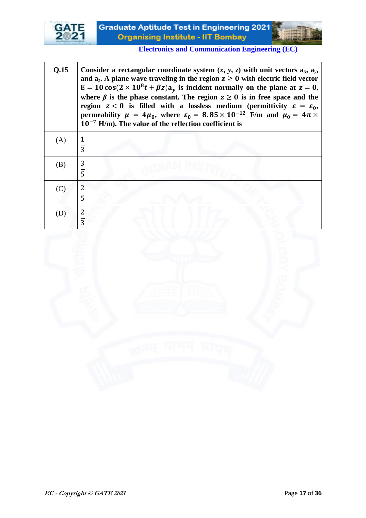

| Q.15 | Consider a rectangular coordinate system $(x, y, z)$ with unit vectors $a_x$ , $a_y$ ,<br>and $a_z$ . A plane wave traveling in the region $z \ge 0$ with electric field vector<br>$E = 10 \cos(2 \times 10^8 t + \beta z)a_y$ is incident normally on the plane at $z = 0$ ,<br>where $\beta$ is the phase constant. The region $z \ge 0$ is in free space and the<br>region $z < 0$ is filled with a lossless medium (permittivity $\varepsilon = \varepsilon_0$ ,<br>permeability $\mu = 4\mu_0$ , where $\varepsilon_0 = 8.85 \times 10^{-12}$ F/m and $\mu_0 = 4\pi \times$<br>$10^{-7}$ H/m). The value of the reflection coefficient is |
|------|------------------------------------------------------------------------------------------------------------------------------------------------------------------------------------------------------------------------------------------------------------------------------------------------------------------------------------------------------------------------------------------------------------------------------------------------------------------------------------------------------------------------------------------------------------------------------------------------------------------------------------------------|
| (A)  | $\overline{3}$                                                                                                                                                                                                                                                                                                                                                                                                                                                                                                                                                                                                                                 |
| (B)  | $\frac{3}{5}$                                                                                                                                                                                                                                                                                                                                                                                                                                                                                                                                                                                                                                  |
| (C)  | $\overline{5}$                                                                                                                                                                                                                                                                                                                                                                                                                                                                                                                                                                                                                                 |
| (D)  |                                                                                                                                                                                                                                                                                                                                                                                                                                                                                                                                                                                                                                                |

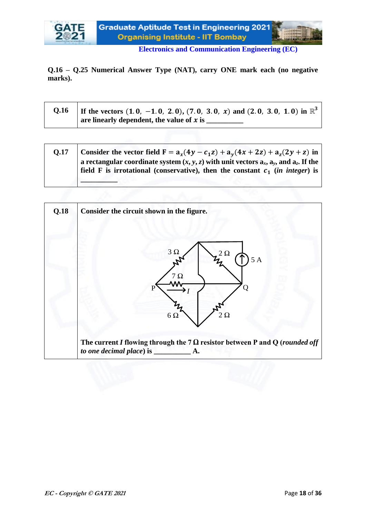

**Q.16 – Q.25 Numerical Answer Type (NAT), carry ONE mark each (no negative marks).**

| If the vectors $(1.0, -1.0, 2.0), (7.0, 3.0, x)$ and $(2.0, 3.0, 1.0)$ in $\mathbb{R}^3$ |
|------------------------------------------------------------------------------------------|
| are linearly dependent, the value of x is                                                |

| 0.17 | Consider the vector field $F = a_x(4y - c_1z) + a_y(4x + 2z) + a_z(2y + z)$ in                   |
|------|--------------------------------------------------------------------------------------------------|
|      | a rectangular coordinate system $(x, y, z)$ with unit vectors $a_x$ , $a_y$ , and $a_z$ . If the |
|      | field F is irrotational (conservative), then the constant $c_1$ (in integer) is                  |
|      |                                                                                                  |

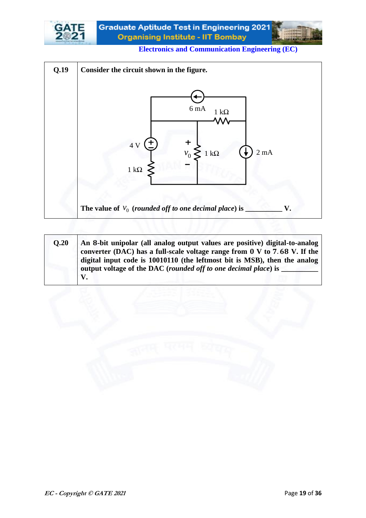



| O.20 | An 8-bit unipolar (all analog output values are positive) digital-to-analog<br>converter (DAC) has a full-scale voltage range from $0 \text{ V}$ to 7.68 V. If the<br>digital input code is 10010110 (the leftmost bit is MSB), then the analog<br>output voltage of the DAC (rounded off to one decimal place) is |
|------|--------------------------------------------------------------------------------------------------------------------------------------------------------------------------------------------------------------------------------------------------------------------------------------------------------------------|
|      | V.                                                                                                                                                                                                                                                                                                                 |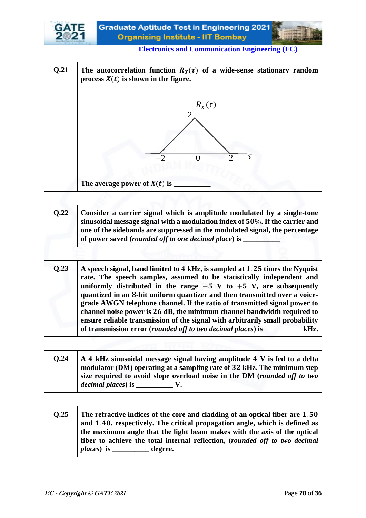



| O.22 | Consider a carrier signal which is amplitude modulated by a single-tone          |
|------|----------------------------------------------------------------------------------|
|      | sinusoidal message signal with a modulation index of $50\%$ . If the carrier and |
|      | one of the sidebands are suppressed in the modulated signal, the percentage      |
|      | of power saved (rounded off to one decimal place) is                             |

| Q.23 | A speech signal, band limited to 4 kHz, is sampled at 1.25 times the Nyquist  |
|------|-------------------------------------------------------------------------------|
|      | rate. The speech samples, assumed to be statistically independent and         |
|      | uniformly distributed in the range $-5$ V to $+5$ V, are subsequently         |
|      | quantized in an 8-bit uniform quantizer and then transmitted over a voice-    |
|      | grade AWGN telephone channel. If the ratio of transmitted signal power to     |
|      | channel noise power is 26 dB, the minimum channel bandwidth required to       |
|      | ensure reliable transmission of the signal with arbitrarily small probability |
|      | of transmission error (rounded off to two decimal places) is ______<br>kHz.   |
|      |                                                                               |

| 0.24 | A 4 kHz sinusoidal message signal having amplitude 4 V is fed to a delta  |
|------|---------------------------------------------------------------------------|
|      | modulator (DM) operating at a sampling rate of 32 kHz. The minimum step   |
|      | size required to avoid slope overload noise in the DM (rounded off to two |
|      | $\theta$ decimal places) is $\frac{1}{\pi}$                               |

| 0.25 | The refractive indices of the core and cladding of an optical fiber are 1.50 |
|------|------------------------------------------------------------------------------|
|      | and 1.48, respectively. The critical propagation angle, which is defined as  |
|      | the maximum angle that the light beam makes with the axis of the optical     |
|      | fiber to achieve the total internal reflection, (rounded off to two decimal  |
|      | <i>places</i> ) is ____________ degree.                                      |
|      |                                                                              |

┱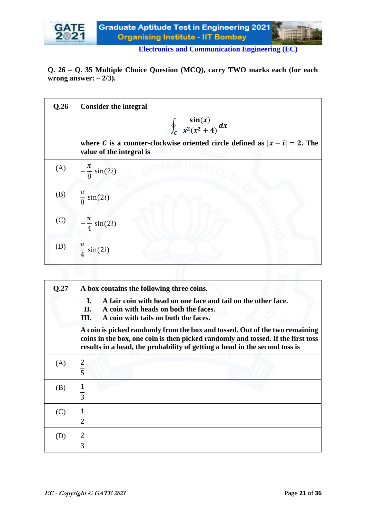

**Q. 26 – Q. 35 Multiple Choice Question (MCQ), carry TWO marks each (for each wrong answer: – 2/3).**

| Q.26 | <b>Consider the integral</b>                                                                              |
|------|-----------------------------------------------------------------------------------------------------------|
|      | $\oint_C \frac{\sin(x)}{x^2(x^2+4)} dx$                                                                   |
|      | where C is a counter-clockwise oriented circle defined as $ x - i  = 2$ . The<br>value of the integral is |
| (A)  | $-\frac{\pi}{8}\sin(2i)$                                                                                  |
| (B)  | $\frac{\pi}{8}$ sin(2 <i>i</i> )                                                                          |
| (C)  | $-\frac{\pi}{4}\sin(2i)$                                                                                  |
| (D)  | $\frac{\pi}{4}$ sin(2 <i>i</i> )                                                                          |
|      |                                                                                                           |

| Q.27 | A box contains the following three coins.                                                                                                                                                                                                     |
|------|-----------------------------------------------------------------------------------------------------------------------------------------------------------------------------------------------------------------------------------------------|
|      | A fair coin with head on one face and tail on the other face.<br>Ι.<br>II.<br>A coin with heads on both the faces.<br>Ш.<br>A coin with tails on both the faces.                                                                              |
|      | A coin is picked randomly from the box and tossed. Out of the two remaining<br>coins in the box, one coin is then picked randomly and tossed. If the first toss<br>results in a head, the probability of getting a head in the second toss is |
| (A)  | 2<br>$\overline{5}$                                                                                                                                                                                                                           |
| (B)  | $\overline{3}$                                                                                                                                                                                                                                |
| (C)  | 1<br>$\overline{2}$                                                                                                                                                                                                                           |
| (D)  | 2<br>$\overline{3}$                                                                                                                                                                                                                           |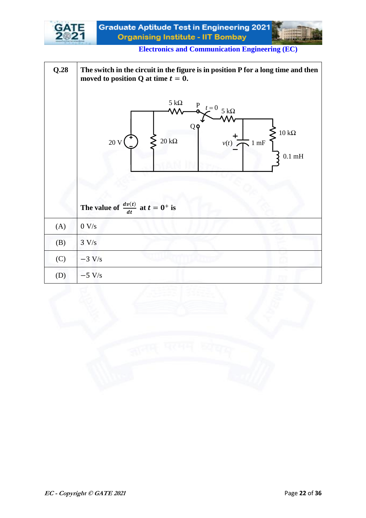

**Electronics and Communication Engineering (EC)**

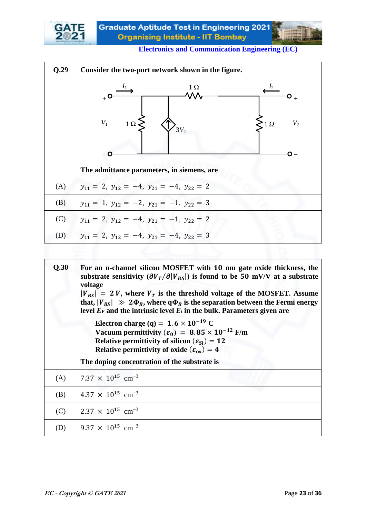

| Q.29 | Consider the two-port network shown in the figure.                                                       |
|------|----------------------------------------------------------------------------------------------------------|
|      | $1 \Omega$<br>$V_1$ 1 $\Omega$<br>V <sub>2</sub><br>$3V_2$<br>The admittance parameters, in siemens, are |
| (A)  | $y_{11} = 2$ , $y_{12} = -4$ , $y_{21} = -4$ , $y_{22} = 2$                                              |
| (B)  | $y_{11} = 1$ , $y_{12} = -2$ , $y_{21} = -1$ , $y_{22} = 3$                                              |
| (C)  | $y_{11} = 2$ , $y_{12} = -4$ , $y_{21} = -1$ , $y_{22} = 2$                                              |
| (D)  | $y_{11} = 2$ , $y_{12} = -4$ , $y_{21} = -4$ , $y_{22} = 3$                                              |
|      |                                                                                                          |

| Q.30 | For an n-channel silicon MOSFET with 10 nm gate oxide thickness, the<br>substrate sensitivity $(\partial V_T / \partial  V_{BS} )$ is found to be 50 mV/V at a substrate<br>voltage<br>$ V_{BS}  = 2 V$ , where $V_T$ is the threshold voltage of the MOSFET. Assume<br>that, $ V_{BS}  \gg 2\Phi_B$ , where $q\Phi_B$ is the separation between the Fermi energy<br>level $E_F$ and the intrinsic level $E_i$ in the bulk. Parameters given are<br>Electron charge (q) = $1.6 \times 10^{-19}$ C<br>Vacuum permittivity ( $\varepsilon_0$ ) = 8.85 × 10 <sup>-12</sup> F/m<br>Relative permittivity of silicon $(\varepsilon_{si}) = 12$<br>Relative permittivity of oxide $(\varepsilon_{ox}) = 4$<br>The doping concentration of the substrate is |
|------|------------------------------------------------------------------------------------------------------------------------------------------------------------------------------------------------------------------------------------------------------------------------------------------------------------------------------------------------------------------------------------------------------------------------------------------------------------------------------------------------------------------------------------------------------------------------------------------------------------------------------------------------------------------------------------------------------------------------------------------------------|
| (A)  | $7.37 \times 10^{15}$ cm <sup>-3</sup>                                                                                                                                                                                                                                                                                                                                                                                                                                                                                                                                                                                                                                                                                                               |
| (B)  | 4.37 $\times$ 10 <sup>15</sup> cm <sup>-3</sup>                                                                                                                                                                                                                                                                                                                                                                                                                                                                                                                                                                                                                                                                                                      |
| (C)  | $2.37 \times 10^{15}$ cm <sup>-3</sup>                                                                                                                                                                                                                                                                                                                                                                                                                                                                                                                                                                                                                                                                                                               |
| (D)  | $9.37 \times 10^{15}$ cm <sup>-3</sup>                                                                                                                                                                                                                                                                                                                                                                                                                                                                                                                                                                                                                                                                                                               |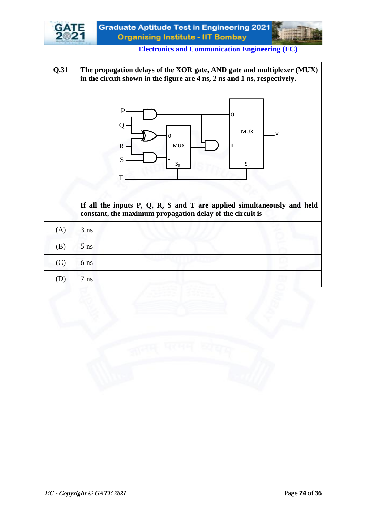

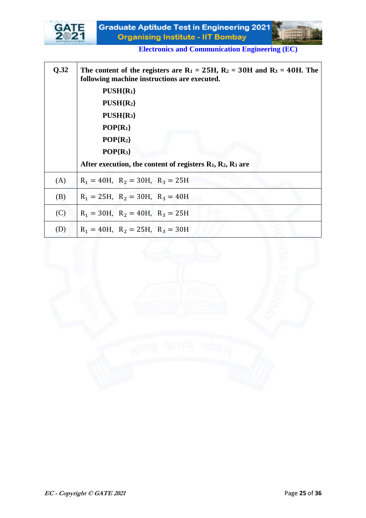

| Q.32 | The content of the registers are $R_1 = 25H$ , $R_2 = 30H$ and $R_3 = 40H$ . The<br>following machine instructions are executed. |
|------|----------------------------------------------------------------------------------------------------------------------------------|
|      | $PUSH{R1}$                                                                                                                       |
|      | $PUSH{R2}$                                                                                                                       |
|      | $PUSH{R_3}$                                                                                                                      |
|      | $POP{R_1}$                                                                                                                       |
|      | $POP{R_2}$                                                                                                                       |
|      | $POP{R_3}$                                                                                                                       |
|      | After execution, the content of registers $R_1$ , $R_2$ , $R_3$ are                                                              |
| (A)  | $R_1 = 40H$ , $R_2 = 30H$ , $R_3 = 25H$                                                                                          |
| (B)  | $R_1 = 25H$ , $R_2 = 30H$ , $R_3 = 40H$                                                                                          |
| (C)  | $R_1 = 30H$ , $R_2 = 40H$ , $R_3 = 25H$                                                                                          |
| (D)  | $R_1 = 40H$ , $R_2 = 25H$ , $R_3 = 30H$                                                                                          |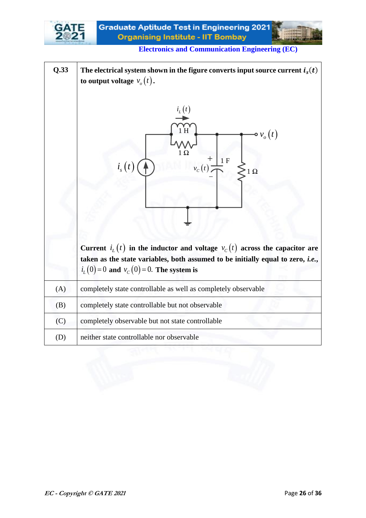

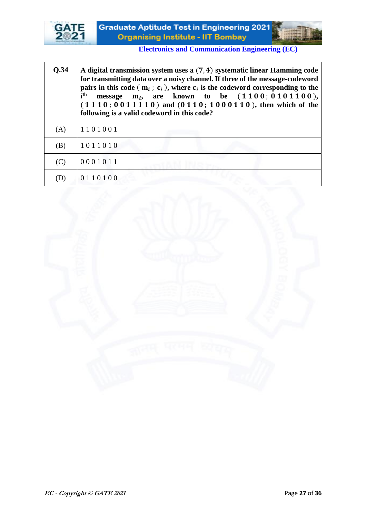



| <b>O.34</b>                | A digital transmission system uses a (7,4) systematic linear Hamming code<br>for transmitting data over a noisy channel. If three of the message-codeword<br>pairs in this code ( $m_i$ ; $c_i$ ), where $c_i$ is the codeword corresponding to the<br>$i$ <sup>th</sup><br>$m_i$ , are known to be $(1100; 0101100)$ ,<br>message<br>$(1110; 00111110)$ and $(0110; 1000110)$ , then which of the<br>following is a valid codeword in this code? |
|----------------------------|---------------------------------------------------------------------------------------------------------------------------------------------------------------------------------------------------------------------------------------------------------------------------------------------------------------------------------------------------------------------------------------------------------------------------------------------------|
| (A)                        | 1101001                                                                                                                                                                                                                                                                                                                                                                                                                                           |
| (B)                        | 1011010                                                                                                                                                                                                                                                                                                                                                                                                                                           |
| (C)                        | 0001011                                                                                                                                                                                                                                                                                                                                                                                                                                           |
| $\left( \mathbf{D}\right)$ | 0110100                                                                                                                                                                                                                                                                                                                                                                                                                                           |

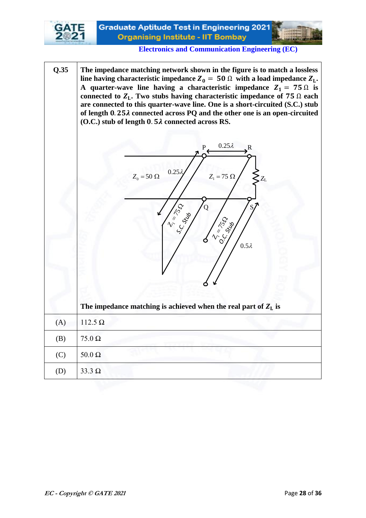

**Q.35 The impedance matching network shown in the figure is to match a lossless**  line having characteristic impedance  $Z_0 = 50 \Omega$  with a load impedance  $Z_L$ . **A** quarter-wave line having a characteristic impedance  $Z_1 = 75 \Omega$  is connected to  $Z_L$ . Two stubs having characteristic impedance of  $75 \Omega$  each **are connected to this quarter-wave line. One is a short-circuited (S.C.) stub**  of length  $0.25\lambda$  connected across PQ and the other one is an open-circuited **(O.C.) stub of length 0. 52 connected across RS.**  $Z_{\rm L}$ *S.C. Stub O.C. Stub* P  $\Omega$ R  $Z_1 = 75 \Omega / 8Z_L$  $1-\frac{5}{2}$ **15 may 10 1-150**  $Z_0 = 50 \Omega$   $0.25 \lambda$ <br>  $Z_1 = 75 \Omega$ <br>  $Z_2 = 75 \Omega$ <br>  $Z_3 = 75 \Omega$ <br>  $Z_4 = 75 \Omega$ <br>  $Z_5 = 75 \Omega$ <br>  $Z_6 = 50 \Omega$ <br>  $Z_7 = 75 \Omega$  $0.25\lambda$  $0.5\lambda$ The impedance matching is achieved when the real part of  $Z_L$  is (A) 112.5 Ω (B)  $\vert$  75.0  $\Omega$ (C) 50.0  $\Omega$ (D)  $33.3 \Omega$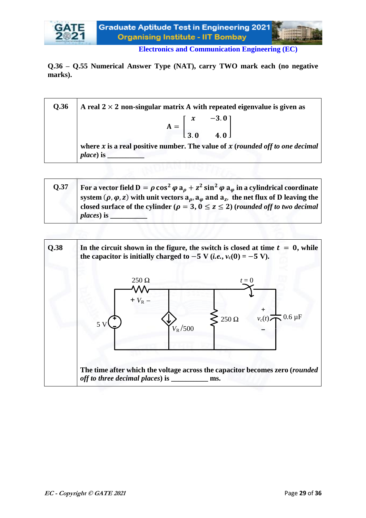

**Q.36 – Q.55 Numerical Answer Type (NAT), carry TWO mark each (no negative marks).**

| Q.36 | A real $2 \times 2$ non-singular matrix A with repeated eigenvalue is given as                                  |
|------|-----------------------------------------------------------------------------------------------------------------|
|      | $A = \begin{bmatrix} x & -3.0 \\ 3.0 & 4.0 \end{bmatrix}$                                                       |
|      |                                                                                                                 |
|      | where $x$ is a real positive number. The value of $x$ (rounded off to one decimal<br><i>place</i> ) is $\qquad$ |

| <b>O.37</b> | For a vector field $D = \rho \cos^2 \varphi a_0 + z^2 \sin^2 \varphi a_0$ in a cylindrical coordinate                     |
|-------------|---------------------------------------------------------------------------------------------------------------------------|
|             | system ( $\rho$ , $\varphi$ , z) with unit vectors $a_{\rho}$ , $a_{\varphi}$ and $a_{z}$ , the net flux of D leaving the |
|             | closed surface of the cylinder ( $\rho = 3, 0 \le z \le 2$ ) (rounded off to two decimal                                  |
|             | $places$ ) is                                                                                                             |

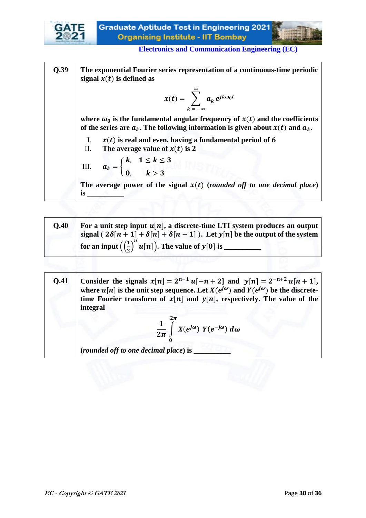



**Q.39 The exponential Fourier series representation of a continuous-time periodic**  signal  $x(t)$  is defined as  $x(t) = \begin{cases} a_k \end{cases}$ ∞  $k = -\infty$  $e^{jk\omega_0 t}$ where  $\omega_0$  is the fundamental angular frequency of  $x(t)$  and the coefficients of the series are  $a_k$ . The following information is given about  $x(t)$  and  $a_k$ . I.  $x(t)$  is real and even, having a fundamental period of  $6$ II. **The average value of**  $x(t)$  **is 2** III.  $a_k = \{$  $k, 1 \leq k \leq 3$ 0,  $k > 3$ The average power of the signal  $x(t)$  (*rounded off to one decimal place*) **is \_\_\_\_\_\_\_\_\_\_**

| O.40 | For a unit step input $u[n]$ , a discrete-time LTI system produces an output             |
|------|------------------------------------------------------------------------------------------|
|      | signal ( $2\delta[n+1]+\delta[n]+\delta[n-1]$ ). Let $y[n]$ be the output of the system  |
|      | for an input $\left(\left(\frac{1}{2}\right)^{n} u[n]\right)$ . The value of $y[0]$ is _ |

| 0.41 | Consider the signals $x[n] = 2^{n-1} u[-n+2]$ and $y[n] = 2^{-n+2} u[n+1]$ ,                       |
|------|----------------------------------------------------------------------------------------------------|
|      | where $u[n]$ is the unit step sequence. Let $X(e^{j\omega})$ and $Y(e^{j\omega})$ be the discrete- |
|      | time Fourier transform of $x[n]$ and $y[n]$ , respectively. The value of the                       |
|      | integral                                                                                           |
|      |                                                                                                    |

$$
\frac{1}{2\pi}\int\limits_{0}^{2\pi} X(e^{j\omega}) Y(e^{-j\omega}) d\omega
$$

**(***rounded off to one decimal place***) is \_\_\_\_\_\_\_\_\_\_**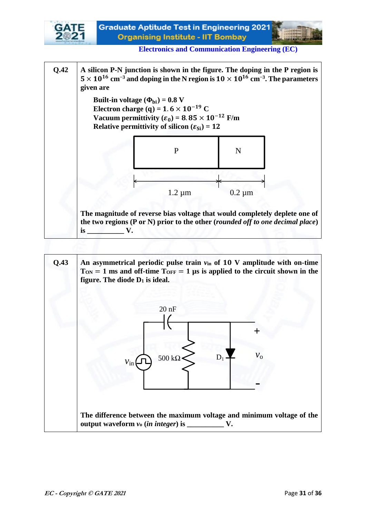

**Q.42 A silicon P-N junction is shown in the figure. The doping in the P region is**   $5 \times 10^{16}$  cm<sup>-3</sup> and doping in the N region is  $10 \times 10^{16}$  cm<sup>-3</sup>. The parameters **given are** 

> **Built-in voltage**  $(\Phi_{\text{bi}}) = 0.8 \text{ V}$  **Electron charge (q) =**  $1.6 \times 10^{-19}$  **C Vacuum permittivity**  $(\varepsilon_0) = 8.85 \times 10^{-12}$  F/m  **Relative permittivity of silicon**  $(\varepsilon_{Si}) = 12$



**The magnitude of reverse bias voltage that would completely deplete one of the two regions (P or N) prior to the other (***rounded off to one decimal place***) is v**.

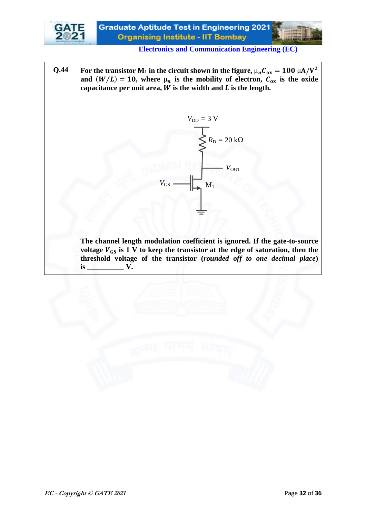

**Electronics and Communication Engineering (EC)**

**Q.44 For the transistor M**<sub>1</sub> in the circuit shown in the figure,  $\mu_n C_{ox} = 100 \mu A/V^2$ and  $(W/L) = 10$ , where  $\mu_n$  is the mobility of electron,  $\mathcal{C}_{ox}$  is the oxide capacitance per unit area,  $W$  is the width and  $L$  is the length.



**The channel length modulation coefficient is ignored. If the gate-to-source**  voltage  $V_{GS}$  is 1 V to keep the transistor at the edge of saturation, then the **threshold voltage of the transistor (***rounded off to one decimal place***) is v**.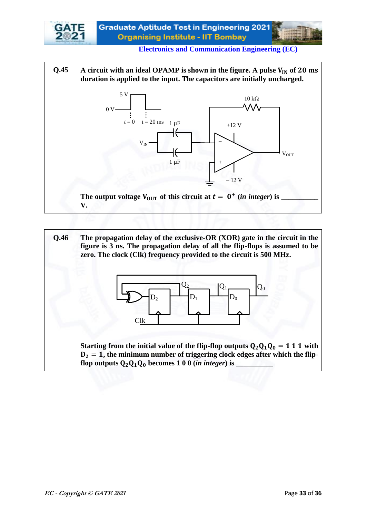



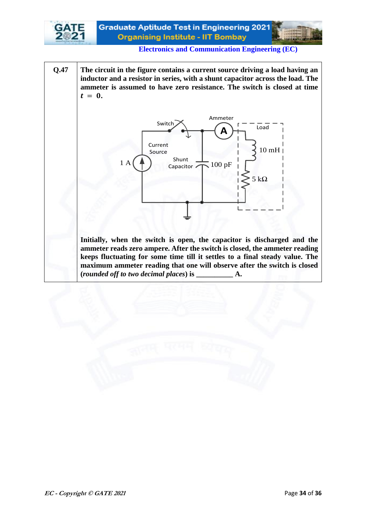

**Q.47 The circuit in the figure contains a current source driving a load having an inductor and a resistor in series, with a shunt capacitor across the load. The ammeter is assumed to have zero resistance. The switch is closed at time**   $t = 0$ .



**Initially, when the switch is open, the capacitor is discharged and the ammeter reads zero ampere. After the switch is closed, the ammeter reading keeps fluctuating for some time till it settles to a final steady value. The maximum ammeter reading that one will observe after the switch is closed (***rounded off to two decimal places***) is \_\_\_\_\_\_\_\_\_\_ A.**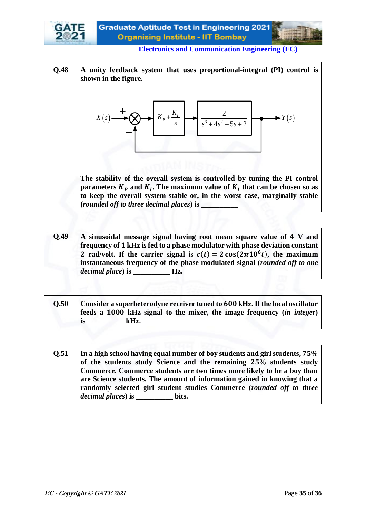



| O.49 | A sinusoidal message signal having root mean square value of 4 V and<br>frequency of 1 kHz is fed to a phase modulator with phase deviation constant<br>2 rad/volt. If the carrier signal is $c(t) = 2 \cos(2\pi 10^6 t)$ , the maximum<br>instantaneous frequency of the phase modulated signal (rounded off to one |
|------|----------------------------------------------------------------------------------------------------------------------------------------------------------------------------------------------------------------------------------------------------------------------------------------------------------------------|
|      | $\phi$ decimal place) is $\qquad \qquad$ Hz.                                                                                                                                                                                                                                                                         |

| O.50 | Consider a superheterodyne receiver tuned to 600 kHz. If the local oscillator |
|------|-------------------------------------------------------------------------------|
|      | feeds a 1000 kHz signal to the mixer, the image frequency (in integer)        |
|      | kHz.                                                                          |

**Q.51** In a high school having equal number of boy students and girl students,  $75\%$ of the students study Science and the remaining 25% students study **Commerce. Commerce students are two times more likely to be a boy than are Science students. The amount of information gained in knowing that a randomly selected girl student studies Commerce (***rounded off to three decimal places***) is \_\_\_\_\_\_\_\_\_\_ bits.**